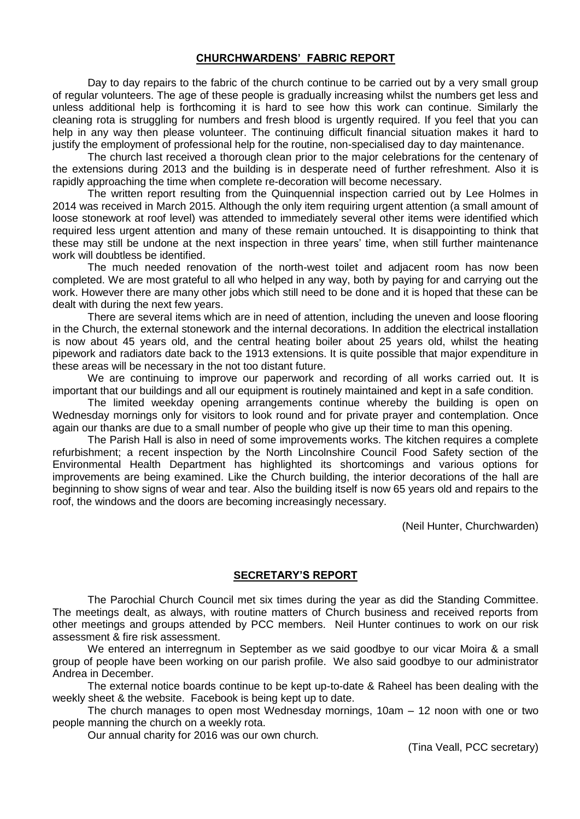# **CHURCHWARDENS' FABRIC REPORT**

Day to day repairs to the fabric of the church continue to be carried out by a very small group of regular volunteers. The age of these people is gradually increasing whilst the numbers get less and unless additional help is forthcoming it is hard to see how this work can continue. Similarly the cleaning rota is struggling for numbers and fresh blood is urgently required. If you feel that you can help in any way then please volunteer. The continuing difficult financial situation makes it hard to justify the employment of professional help for the routine, non-specialised day to day maintenance.

The church last received a thorough clean prior to the major celebrations for the centenary of the extensions during 2013 and the building is in desperate need of further refreshment. Also it is rapidly approaching the time when complete re-decoration will become necessary.

The written report resulting from the Quinquennial inspection carried out by Lee Holmes in 2014 was received in March 2015. Although the only item requiring urgent attention (a small amount of loose stonework at roof level) was attended to immediately several other items were identified which required less urgent attention and many of these remain untouched. It is disappointing to think that these may still be undone at the next inspection in three years' time, when still further maintenance work will doubtless be identified.

The much needed renovation of the north-west toilet and adjacent room has now been completed. We are most grateful to all who helped in any way, both by paying for and carrying out the work. However there are many other jobs which still need to be done and it is hoped that these can be dealt with during the next few years.

There are several items which are in need of attention, including the uneven and loose flooring in the Church, the external stonework and the internal decorations. In addition the electrical installation is now about 45 years old, and the central heating boiler about 25 years old, whilst the heating pipework and radiators date back to the 1913 extensions. It is quite possible that major expenditure in these areas will be necessary in the not too distant future.

We are continuing to improve our paperwork and recording of all works carried out. It is important that our buildings and all our equipment is routinely maintained and kept in a safe condition.

The limited weekday opening arrangements continue whereby the building is open on Wednesday mornings only for visitors to look round and for private prayer and contemplation. Once again our thanks are due to a small number of people who give up their time to man this opening.

The Parish Hall is also in need of some improvements works. The kitchen requires a complete refurbishment; a recent inspection by the North Lincolnshire Council Food Safety section of the Environmental Health Department has highlighted its shortcomings and various options for improvements are being examined. Like the Church building, the interior decorations of the hall are beginning to show signs of wear and tear. Also the building itself is now 65 years old and repairs to the roof, the windows and the doors are becoming increasingly necessary.

(Neil Hunter, Churchwarden)

### **SECRETARY'S REPORT**

The Parochial Church Council met six times during the year as did the Standing Committee. The meetings dealt, as always, with routine matters of Church business and received reports from other meetings and groups attended by PCC members. Neil Hunter continues to work on our risk assessment & fire risk assessment.

We entered an interregnum in September as we said goodbye to our vicar Moira & a small group of people have been working on our parish profile. We also said goodbye to our administrator Andrea in December.

The external notice boards continue to be kept up-to-date & Raheel has been dealing with the weekly sheet & the website. Facebook is being kept up to date.

The church manages to open most Wednesday mornings, 10am – 12 noon with one or two people manning the church on a weekly rota.

Our annual charity for 2016 was our own church.

(Tina Veall, PCC secretary)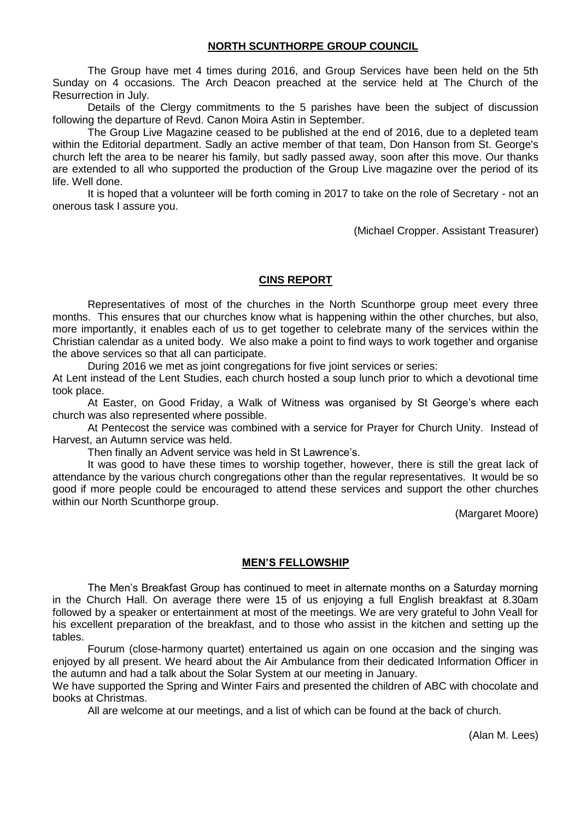# **NORTH SCUNTHORPE GROUP COUNCIL**

The Group have met 4 times during 2016, and Group Services have been held on the 5th Sunday on 4 occasions. The Arch Deacon preached at the service held at The Church of the Resurrection in July.

Details of the Clergy commitments to the 5 parishes have been the subject of discussion following the departure of Revd. Canon Moira Astin in September.

The Group Live Magazine ceased to be published at the end of 2016, due to a depleted team within the Editorial department. Sadly an active member of that team, Don Hanson from St. George's church left the area to be nearer his family, but sadly passed away, soon after this move. Our thanks are extended to all who supported the production of the Group Live magazine over the period of its life. Well done.

It is hoped that a volunteer will be forth coming in 2017 to take on the role of Secretary - not an onerous task I assure you.

(Michael Cropper. Assistant Treasurer)

# **CINS REPORT**

Representatives of most of the churches in the North Scunthorpe group meet every three months. This ensures that our churches know what is happening within the other churches, but also, more importantly, it enables each of us to get together to celebrate many of the services within the Christian calendar as a united body. We also make a point to find ways to work together and organise the above services so that all can participate.

During 2016 we met as joint congregations for five joint services or series:

At Lent instead of the Lent Studies, each church hosted a soup lunch prior to which a devotional time took place.

At Easter, on Good Friday, a Walk of Witness was organised by St George's where each church was also represented where possible.

At Pentecost the service was combined with a service for Prayer for Church Unity. Instead of Harvest, an Autumn service was held.

Then finally an Advent service was held in St Lawrence's.

It was good to have these times to worship together, however, there is still the great lack of attendance by the various church congregations other than the regular representatives. It would be so good if more people could be encouraged to attend these services and support the other churches within our North Scunthorpe group.

(Margaret Moore)

### **MEN'S FELLOWSHIP**

The Men's Breakfast Group has continued to meet in alternate months on a Saturday morning in the Church Hall. On average there were 15 of us enjoying a full English breakfast at 8.30am followed by a speaker or entertainment at most of the meetings. We are very grateful to John Veall for his excellent preparation of the breakfast, and to those who assist in the kitchen and setting up the tables.

Fourum (close-harmony quartet) entertained us again on one occasion and the singing was enjoyed by all present. We heard about the Air Ambulance from their dedicated Information Officer in the autumn and had a talk about the Solar System at our meeting in January.

We have supported the Spring and Winter Fairs and presented the children of ABC with chocolate and books at Christmas.

All are welcome at our meetings, and a list of which can be found at the back of church.

(Alan M. Lees)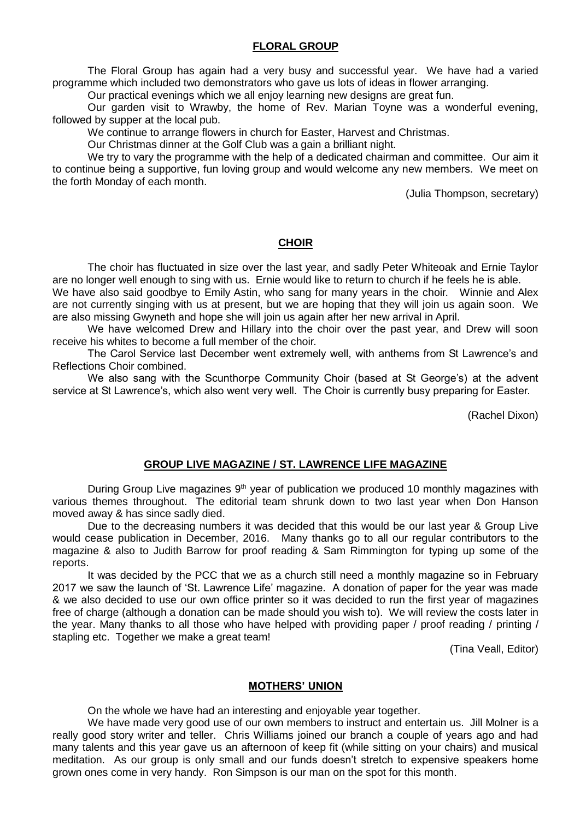# **FLORAL GROUP**

The Floral Group has again had a very busy and successful year. We have had a varied programme which included two demonstrators who gave us lots of ideas in flower arranging.

Our practical evenings which we all enjoy learning new designs are great fun.

Our garden visit to Wrawby, the home of Rev. Marian Toyne was a wonderful evening, followed by supper at the local pub.

We continue to arrange flowers in church for Easter, Harvest and Christmas.

Our Christmas dinner at the Golf Club was a gain a brilliant night.

We try to vary the programme with the help of a dedicated chairman and committee. Our aim it to continue being a supportive, fun loving group and would welcome any new members. We meet on the forth Monday of each month.

(Julia Thompson, secretary)

# **CHOIR**

The choir has fluctuated in size over the last year, and sadly Peter Whiteoak and Ernie Taylor are no longer well enough to sing with us. Ernie would like to return to church if he feels he is able.

We have also said goodbye to Emily Astin, who sang for many years in the choir. Winnie and Alex are not currently singing with us at present, but we are hoping that they will join us again soon. We are also missing Gwyneth and hope she will join us again after her new arrival in April.

We have welcomed Drew and Hillary into the choir over the past year, and Drew will soon receive his whites to become a full member of the choir.

The Carol Service last December went extremely well, with anthems from St Lawrence's and Reflections Choir combined.

We also sang with the Scunthorpe Community Choir (based at St George's) at the advent service at St Lawrence's, which also went very well. The Choir is currently busy preparing for Easter.

(Rachel Dixon)

### **GROUP LIVE MAGAZINE / ST. LAWRENCE LIFE MAGAZINE**

During Group Live magazines 9<sup>th</sup> year of publication we produced 10 monthly magazines with various themes throughout. The editorial team shrunk down to two last year when Don Hanson moved away & has since sadly died.

Due to the decreasing numbers it was decided that this would be our last year & Group Live would cease publication in December, 2016. Many thanks go to all our regular contributors to the magazine & also to Judith Barrow for proof reading & Sam Rimmington for typing up some of the reports.

It was decided by the PCC that we as a church still need a monthly magazine so in February 2017 we saw the launch of 'St. Lawrence Life' magazine. A donation of paper for the year was made & we also decided to use our own office printer so it was decided to run the first year of magazines free of charge (although a donation can be made should you wish to). We will review the costs later in the year. Many thanks to all those who have helped with providing paper / proof reading / printing / stapling etc. Together we make a great team!

(Tina Veall, Editor)

## **MOTHERS' UNION**

On the whole we have had an interesting and enjoyable year together.

We have made very good use of our own members to instruct and entertain us. Jill Molner is a really good story writer and teller. Chris Williams joined our branch a couple of years ago and had many talents and this year gave us an afternoon of keep fit (while sitting on your chairs) and musical meditation. As our group is only small and our funds doesn't stretch to expensive speakers home grown ones come in very handy. Ron Simpson is our man on the spot for this month.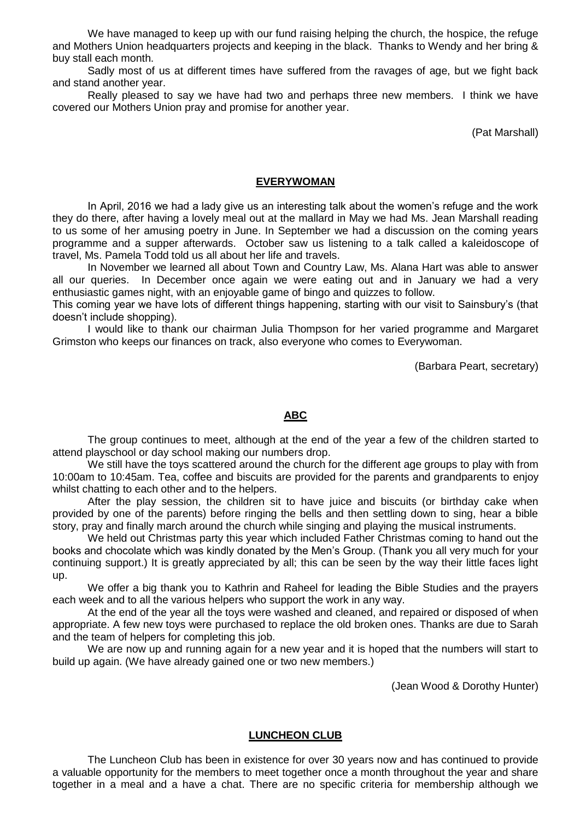We have managed to keep up with our fund raising helping the church, the hospice, the refuge and Mothers Union headquarters projects and keeping in the black. Thanks to Wendy and her bring & buy stall each month.

Sadly most of us at different times have suffered from the ravages of age, but we fight back and stand another year.

Really pleased to say we have had two and perhaps three new members. I think we have covered our Mothers Union pray and promise for another year.

(Pat Marshall)

## **EVERYWOMAN**

In April, 2016 we had a lady give us an interesting talk about the women's refuge and the work they do there, after having a lovely meal out at the mallard in May we had Ms. Jean Marshall reading to us some of her amusing poetry in June. In September we had a discussion on the coming years programme and a supper afterwards. October saw us listening to a talk called a kaleidoscope of travel, Ms. Pamela Todd told us all about her life and travels.

In November we learned all about Town and Country Law, Ms. Alana Hart was able to answer all our queries. In December once again we were eating out and in January we had a very enthusiastic games night, with an enjoyable game of bingo and quizzes to follow.

This coming year we have lots of different things happening, starting with our visit to Sainsbury's (that doesn't include shopping).

I would like to thank our chairman Julia Thompson for her varied programme and Margaret Grimston who keeps our finances on track, also everyone who comes to Everywoman.

(Barbara Peart, secretary)

# **ABC**

The group continues to meet, although at the end of the year a few of the children started to attend playschool or day school making our numbers drop.

We still have the toys scattered around the church for the different age groups to play with from 10:00am to 10:45am. Tea, coffee and biscuits are provided for the parents and grandparents to enjoy whilst chatting to each other and to the helpers.

After the play session, the children sit to have juice and biscuits (or birthday cake when provided by one of the parents) before ringing the bells and then settling down to sing, hear a bible story, pray and finally march around the church while singing and playing the musical instruments.

We held out Christmas party this year which included Father Christmas coming to hand out the books and chocolate which was kindly donated by the Men's Group. (Thank you all very much for your continuing support.) It is greatly appreciated by all; this can be seen by the way their little faces light up.

We offer a big thank you to Kathrin and Raheel for leading the Bible Studies and the prayers each week and to all the various helpers who support the work in any way.

At the end of the year all the toys were washed and cleaned, and repaired or disposed of when appropriate. A few new toys were purchased to replace the old broken ones. Thanks are due to Sarah and the team of helpers for completing this job.

We are now up and running again for a new year and it is hoped that the numbers will start to build up again. (We have already gained one or two new members.)

(Jean Wood & Dorothy Hunter)

## **LUNCHEON CLUB**

The Luncheon Club has been in existence for over 30 years now and has continued to provide a valuable opportunity for the members to meet together once a month throughout the year and share together in a meal and a have a chat. There are no specific criteria for membership although we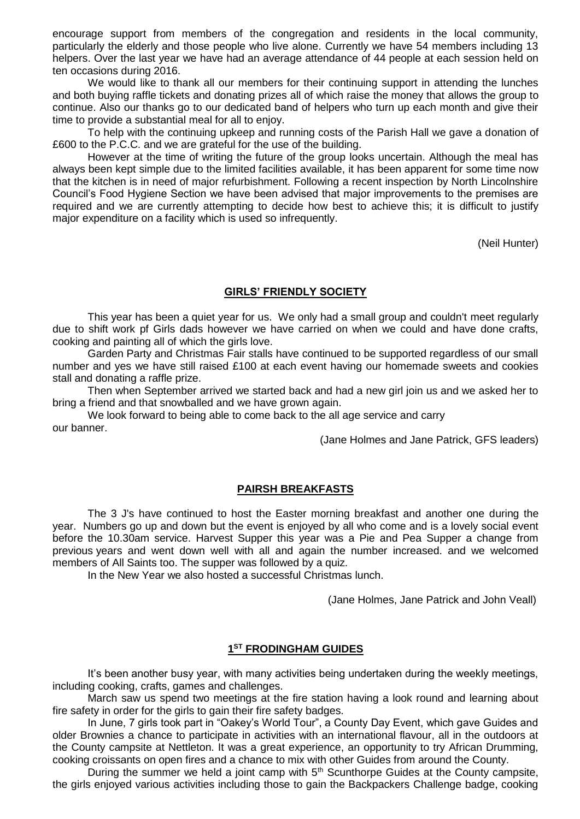encourage support from members of the congregation and residents in the local community, particularly the elderly and those people who live alone. Currently we have 54 members including 13 helpers. Over the last year we have had an average attendance of 44 people at each session held on ten occasions during 2016.

We would like to thank all our members for their continuing support in attending the lunches and both buying raffle tickets and donating prizes all of which raise the money that allows the group to continue. Also our thanks go to our dedicated band of helpers who turn up each month and give their time to provide a substantial meal for all to enjoy.

To help with the continuing upkeep and running costs of the Parish Hall we gave a donation of £600 to the P.C.C. and we are grateful for the use of the building.

However at the time of writing the future of the group looks uncertain. Although the meal has always been kept simple due to the limited facilities available, it has been apparent for some time now that the kitchen is in need of major refurbishment. Following a recent inspection by North Lincolnshire Council's Food Hygiene Section we have been advised that major improvements to the premises are required and we are currently attempting to decide how best to achieve this; it is difficult to justify major expenditure on a facility which is used so infrequently.

(Neil Hunter)

# **GIRLS' FRIENDLY SOCIETY**

This year has been a quiet year for us. We only had a small group and couldn't meet regularly due to shift work pf Girls dads however we have carried on when we could and have done crafts, cooking and painting all of which the girls love.

Garden Party and Christmas Fair stalls have continued to be supported regardless of our small number and yes we have still raised £100 at each event having our homemade sweets and cookies stall and donating a raffle prize.

Then when September arrived we started back and had a new girl join us and we asked her to bring a friend and that snowballed and we have grown again.

We look forward to being able to come back to the all age service and carry our banner.

(Jane Holmes and Jane Patrick, GFS leaders)

### **PAIRSH BREAKFASTS**

The 3 J's have continued to host the Easter morning breakfast and another one during the year. Numbers go up and down but the event is enjoyed by all who come and is a lovely social event before the 10.30am service. Harvest Supper this year was a Pie and Pea Supper a change from previous years and went down well with all and again the number increased. and we welcomed members of All Saints too. The supper was followed by a quiz.

In the New Year we also hosted a successful Christmas lunch.

(Jane Holmes, Jane Patrick and John Veall)

### **1 ST FRODINGHAM GUIDES**

It's been another busy year, with many activities being undertaken during the weekly meetings, including cooking, crafts, games and challenges.

March saw us spend two meetings at the fire station having a look round and learning about fire safety in order for the girls to gain their fire safety badges.

In June, 7 girls took part in "Oakey's World Tour", a County Day Event, which gave Guides and older Brownies a chance to participate in activities with an international flavour, all in the outdoors at the County campsite at Nettleton. It was a great experience, an opportunity to try African Drumming, cooking croissants on open fires and a chance to mix with other Guides from around the County.

During the summer we held a joint camp with  $5<sup>th</sup>$  Scunthorpe Guides at the County campsite, the girls enjoyed various activities including those to gain the Backpackers Challenge badge, cooking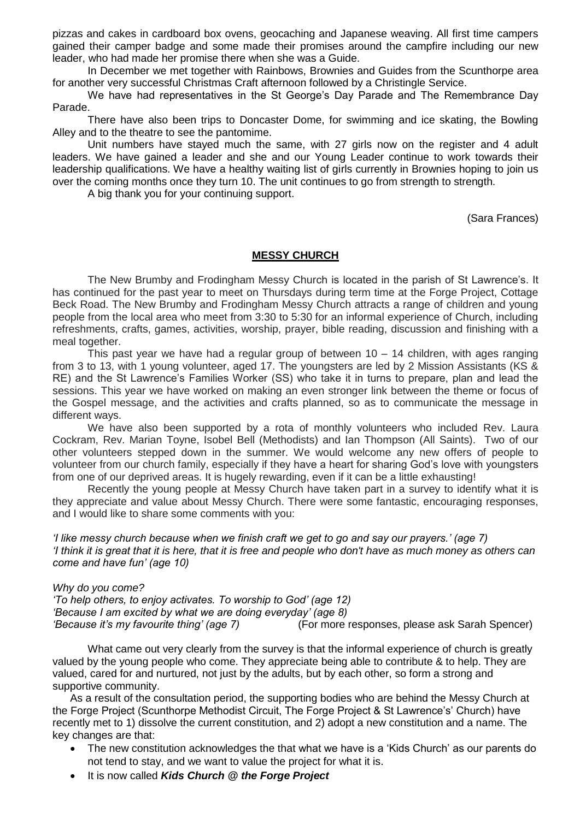pizzas and cakes in cardboard box ovens, geocaching and Japanese weaving. All first time campers gained their camper badge and some made their promises around the campfire including our new leader, who had made her promise there when she was a Guide.

In December we met together with Rainbows, Brownies and Guides from the Scunthorpe area for another very successful Christmas Craft afternoon followed by a Christingle Service.

We have had representatives in the St George's Day Parade and The Remembrance Day Parade.

There have also been trips to Doncaster Dome, for swimming and ice skating, the Bowling Alley and to the theatre to see the pantomime.

Unit numbers have stayed much the same, with 27 girls now on the register and 4 adult leaders. We have gained a leader and she and our Young Leader continue to work towards their leadership qualifications. We have a healthy waiting list of girls currently in Brownies hoping to join us over the coming months once they turn 10. The unit continues to go from strength to strength.

A big thank you for your continuing support.

(Sara Frances)

# **MESSY CHURCH**

The New Brumby and Frodingham Messy Church is located in the parish of St Lawrence's. It has continued for the past year to meet on Thursdays during term time at the Forge Project, Cottage Beck Road. The New Brumby and Frodingham Messy Church attracts a range of children and young people from the local area who meet from 3:30 to 5:30 for an informal experience of Church, including refreshments, crafts, games, activities, worship, prayer, bible reading, discussion and finishing with a meal together.

This past year we have had a regular group of between  $10 - 14$  children, with ages ranging from 3 to 13, with 1 young volunteer, aged 17. The youngsters are led by 2 Mission Assistants (KS & RE) and the St Lawrence's Families Worker (SS) who take it in turns to prepare, plan and lead the sessions. This year we have worked on making an even stronger link between the theme or focus of the Gospel message, and the activities and crafts planned, so as to communicate the message in different ways.

We have also been supported by a rota of monthly volunteers who included Rev. Laura Cockram, Rev. Marian Toyne, Isobel Bell (Methodists) and Ian Thompson (All Saints). Two of our other volunteers stepped down in the summer. We would welcome any new offers of people to volunteer from our church family, especially if they have a heart for sharing God's love with youngsters from one of our deprived areas. It is hugely rewarding, even if it can be a little exhausting!

 Recently the young people at Messy Church have taken part in a survey to identify what it is they appreciate and value about Messy Church. There were some fantastic, encouraging responses, and I would like to share some comments with you:

*'I like messy church because when we finish craft we get to go and say our prayers.' (age 7) 'I think it is great that it is here, that it is free and people who don't have as much money as others can come and have fun' (age 10)*

*Why do you come?*

*'To help others, to enjoy activates. To worship to God' (age 12) 'Because I am excited by what we are doing everyday' (age 8) 'Because it's my favourite thing' (age 7)* (For more responses, please ask Sarah Spencer)

What came out very clearly from the survey is that the informal experience of church is greatly valued by the young people who come. They appreciate being able to contribute & to help. They are valued, cared for and nurtured, not just by the adults, but by each other, so form a strong and supportive community.

As a result of the consultation period, the supporting bodies who are behind the Messy Church at the Forge Project (Scunthorpe Methodist Circuit, The Forge Project & St Lawrence's' Church) have recently met to 1) dissolve the current constitution, and 2) adopt a new constitution and a name. The key changes are that:

- The new constitution acknowledges the that what we have is a 'Kids Church' as our parents do not tend to stay, and we want to value the project for what it is.
- It is now called *Kids Church @ the Forge Project*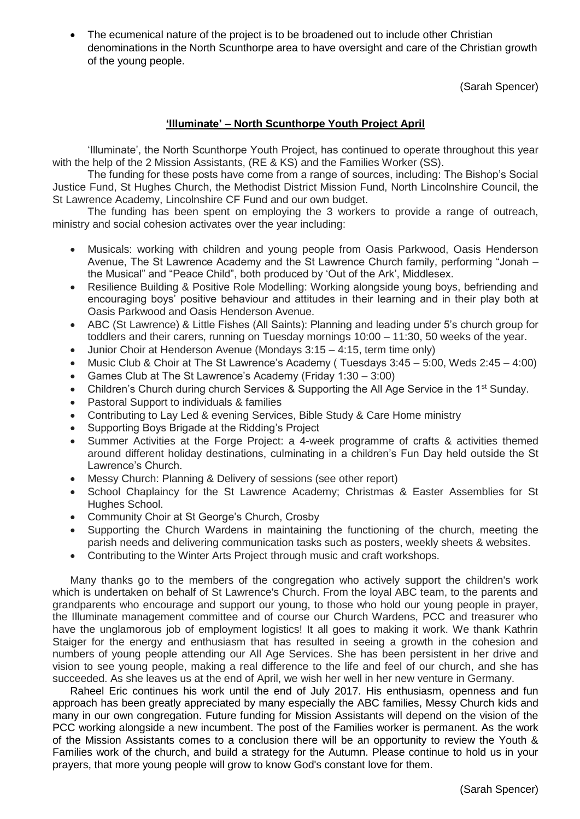The ecumenical nature of the project is to be broadened out to include other Christian denominations in the North Scunthorpe area to have oversight and care of the Christian growth of the young people.

(Sarah Spencer)

# **'Illuminate' – North Scunthorpe Youth Project April**

'Illuminate', the North Scunthorpe Youth Project, has continued to operate throughout this year with the help of the 2 Mission Assistants, (RE & KS) and the Families Worker (SS).

The funding for these posts have come from a range of sources, including: The Bishop's Social Justice Fund, St Hughes Church, the Methodist District Mission Fund, North Lincolnshire Council, the St Lawrence Academy, Lincolnshire CF Fund and our own budget.

The funding has been spent on employing the 3 workers to provide a range of outreach, ministry and social cohesion activates over the year including:

- Musicals: working with children and young people from Oasis Parkwood, Oasis Henderson Avenue, The St Lawrence Academy and the St Lawrence Church family, performing "Jonah – the Musical" and "Peace Child", both produced by 'Out of the Ark', Middlesex.
- Resilience Building & Positive Role Modelling: Working alongside young boys, befriending and encouraging boys' positive behaviour and attitudes in their learning and in their play both at Oasis Parkwood and Oasis Henderson Avenue.
- ABC (St Lawrence) & Little Fishes (All Saints): Planning and leading under 5's church group for toddlers and their carers, running on Tuesday mornings 10:00 – 11:30, 50 weeks of the year.
- Junior Choir at Henderson Avenue (Mondays 3:15 4:15, term time only)
- Music Club & Choir at The St Lawrence's Academy ( Tuesdays 3:45 5:00, Weds 2:45 4:00)
- Games Club at The St Lawrence's Academy (Friday 1:30 3:00)
- Children's Church during church Services & Supporting the All Age Service in the 1<sup>st</sup> Sunday.
- Pastoral Support to individuals & families
- Contributing to Lay Led & evening Services, Bible Study & Care Home ministry
- Supporting Boys Brigade at the Ridding's Project
- Summer Activities at the Forge Project: a 4-week programme of crafts & activities themed around different holiday destinations, culminating in a children's Fun Day held outside the St Lawrence's Church.
- Messy Church: Planning & Delivery of sessions (see other report)
- School Chaplaincy for the St Lawrence Academy: Christmas & Easter Assemblies for St Hughes School.
- Community Choir at St George's Church, Crosby
- Supporting the Church Wardens in maintaining the functioning of the church, meeting the parish needs and delivering communication tasks such as posters, weekly sheets & websites.
- Contributing to the Winter Arts Project through music and craft workshops.

Many thanks go to the members of the congregation who actively support the children's work which is undertaken on behalf of St Lawrence's Church. From the loyal ABC team, to the parents and grandparents who encourage and support our young, to those who hold our young people in prayer, the Illuminate management committee and of course our Church Wardens, PCC and treasurer who have the unglamorous job of employment logistics! It all goes to making it work. We thank Kathrin Staiger for the energy and enthusiasm that has resulted in seeing a growth in the cohesion and numbers of young people attending our All Age Services. She has been persistent in her drive and vision to see young people, making a real difference to the life and feel of our church, and she has succeeded. As she leaves us at the end of April, we wish her well in her new venture in Germany.

Raheel Eric continues his work until the end of July 2017. His enthusiasm, openness and fun approach has been greatly appreciated by many especially the ABC families, Messy Church kids and many in our own congregation. Future funding for Mission Assistants will depend on the vision of the PCC working alongside a new incumbent. The post of the Families worker is permanent. As the work of the Mission Assistants comes to a conclusion there will be an opportunity to review the Youth & Families work of the church, and build a strategy for the Autumn. Please continue to hold us in your prayers, that more young people will grow to know God's constant love for them.